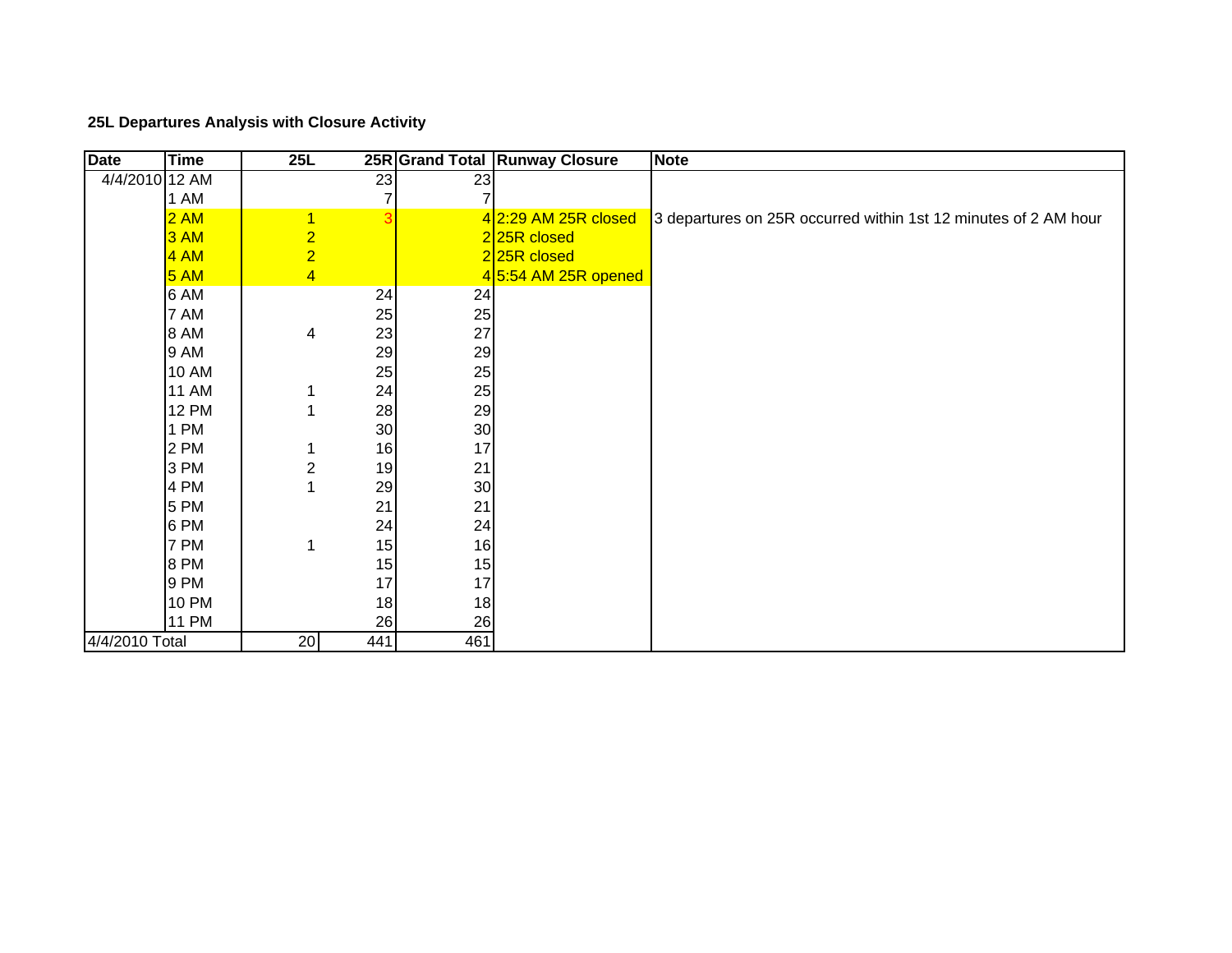## **25L Departures Analysis with Closure Activity**

| <b>Date</b>    | <b>Time</b>  | 25L            |                |                 | 25R Grand Total Runway Closure | <b>Note</b>                                                     |
|----------------|--------------|----------------|----------------|-----------------|--------------------------------|-----------------------------------------------------------------|
| 4/4/2010 12 AM |              |                | 23             | $\overline{23}$ |                                |                                                                 |
|                | 1 AM         |                | 7              | 7               |                                |                                                                 |
|                | 2AM          | $\overline{1}$ | $\overline{3}$ |                 | $4$ 2:29 AM 25R closed         | 3 departures on 25R occurred within 1st 12 minutes of 2 AM hour |
|                | 3AM          | $\overline{2}$ |                |                 | 225R closed                    |                                                                 |
|                | 4AM          | $\overline{2}$ |                |                 | 225R closed                    |                                                                 |
|                | 5AM          | $\overline{4}$ |                |                 | 4 5:54 AM 25R opened           |                                                                 |
|                | 6 AM         |                | 24             | 24              |                                |                                                                 |
|                | 7 AM         |                | 25             | 25              |                                |                                                                 |
|                | 8 AM         | 4              | 23             | 27              |                                |                                                                 |
|                | 9 AM         |                | 29             | 29              |                                |                                                                 |
|                | <b>10 AM</b> |                | 25             | 25              |                                |                                                                 |
|                | <b>11 AM</b> | 1              | 24             | 25              |                                |                                                                 |
|                | <b>12 PM</b> |                | 28             | 29              |                                |                                                                 |
|                | 1 PM         |                | 30             | 30              |                                |                                                                 |
|                | 2 PM         |                | 16             | 17              |                                |                                                                 |
|                | 3 PM         | $\overline{2}$ | 19             | 21              |                                |                                                                 |
|                | 4 PM         |                | 29             | 30              |                                |                                                                 |
|                | 5 PM         |                | 21             | 21              |                                |                                                                 |
|                | 6 PM         |                | 24             | 24              |                                |                                                                 |
|                | 7 PM         | 1              | 15             | 16              |                                |                                                                 |
|                | 8 PM         |                | 15             | 15              |                                |                                                                 |
|                | 9 PM         |                | 17             | 17              |                                |                                                                 |
|                | <b>10 PM</b> |                | 18             | 18              |                                |                                                                 |
|                | <b>11 PM</b> |                | 26             | 26              |                                |                                                                 |
| 4/4/2010 Total |              | 20             | 441            | 461             |                                |                                                                 |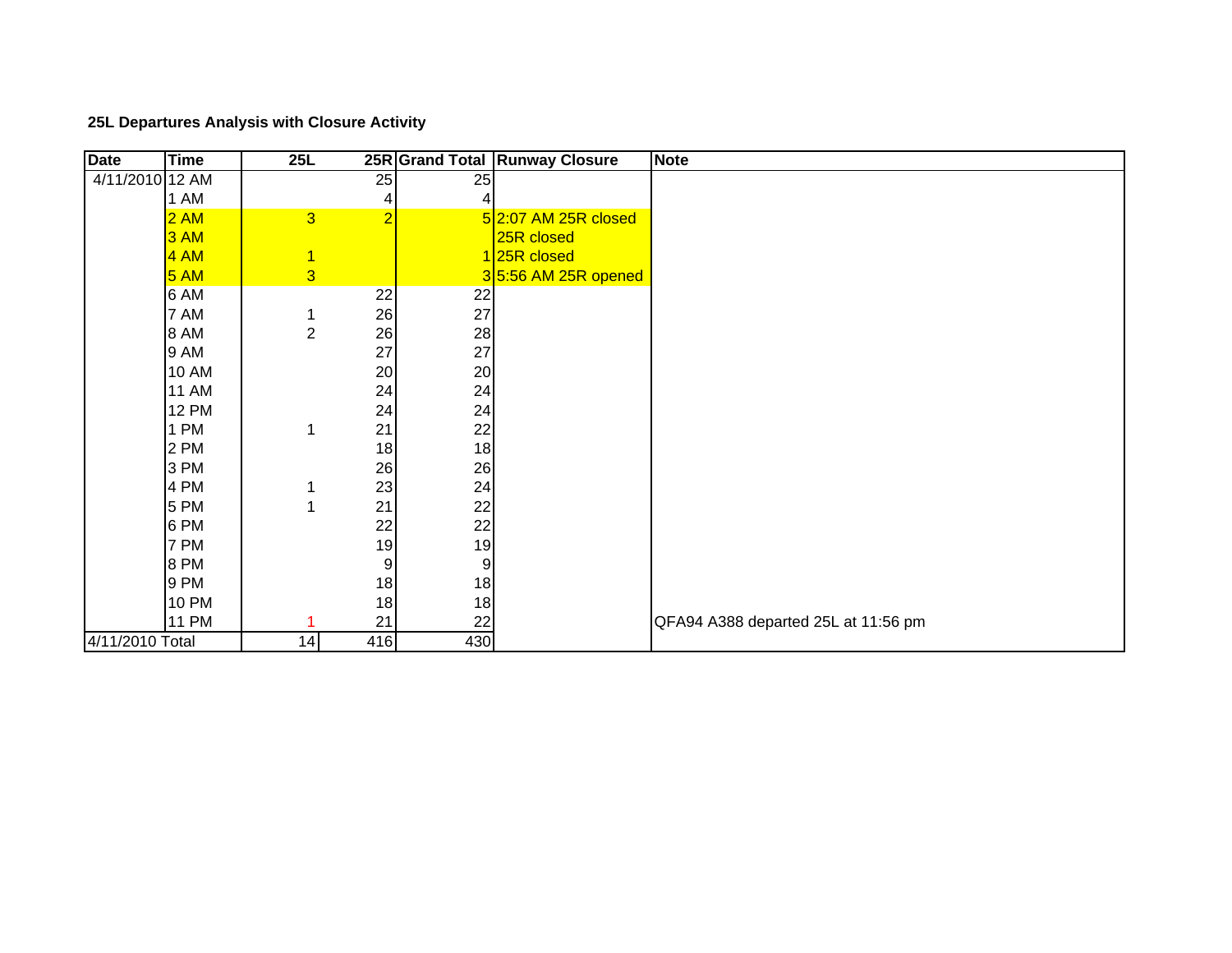## **25L Departures Analysis with Closure Activity**

| <b>Date</b>     | <b>Time</b>  | 25L             |                |     | 25R Grand Total Runway Closure | <b>Note</b>                         |
|-----------------|--------------|-----------------|----------------|-----|--------------------------------|-------------------------------------|
| 4/11/2010 12 AM |              |                 | 25             | 25  |                                |                                     |
|                 | 1 AM         |                 | 4              | 4   |                                |                                     |
|                 | 2AM          | $\overline{3}$  | $\overline{2}$ |     | $5$ 2:07 AM 25R closed         |                                     |
|                 | 3AM          |                 |                |     | 25R closed                     |                                     |
|                 | 4 AM         | $\overline{1}$  |                |     | 125R closed                    |                                     |
|                 | 5AM          | $\overline{3}$  |                |     | $3 5:56$ AM 25R opened         |                                     |
|                 | 6 AM         |                 | 22             | 22  |                                |                                     |
|                 | 7 AM         | 1               | 26             | 27  |                                |                                     |
|                 | 8 AM         | $\overline{2}$  | 26             | 28  |                                |                                     |
|                 | 9 AM         |                 | 27             | 27  |                                |                                     |
|                 | <b>10 AM</b> |                 | 20             | 20  |                                |                                     |
|                 | <b>11 AM</b> |                 | 24             | 24  |                                |                                     |
|                 | <b>12 PM</b> |                 | 24             | 24  |                                |                                     |
|                 | 1 PM         | 1               | 21             | 22  |                                |                                     |
|                 | 2 PM         |                 | 18             | 18  |                                |                                     |
|                 | 3 PM         |                 | 26             | 26  |                                |                                     |
|                 | 4 PM         |                 | 23             | 24  |                                |                                     |
|                 | 5 PM         | 1               | 21             | 22  |                                |                                     |
|                 | 6 PM         |                 | 22             | 22  |                                |                                     |
|                 | 7 PM         |                 | 19             | 19  |                                |                                     |
|                 | 8 PM         |                 | 9              | 9   |                                |                                     |
|                 | 9 PM         |                 | 18             | 18  |                                |                                     |
|                 | <b>10 PM</b> |                 | 18             | 18  |                                |                                     |
|                 | <b>11 PM</b> |                 | 21             | 22  |                                | QFA94 A388 departed 25L at 11:56 pm |
| 4/11/2010 Total |              | $1\overline{4}$ | 416            | 430 |                                |                                     |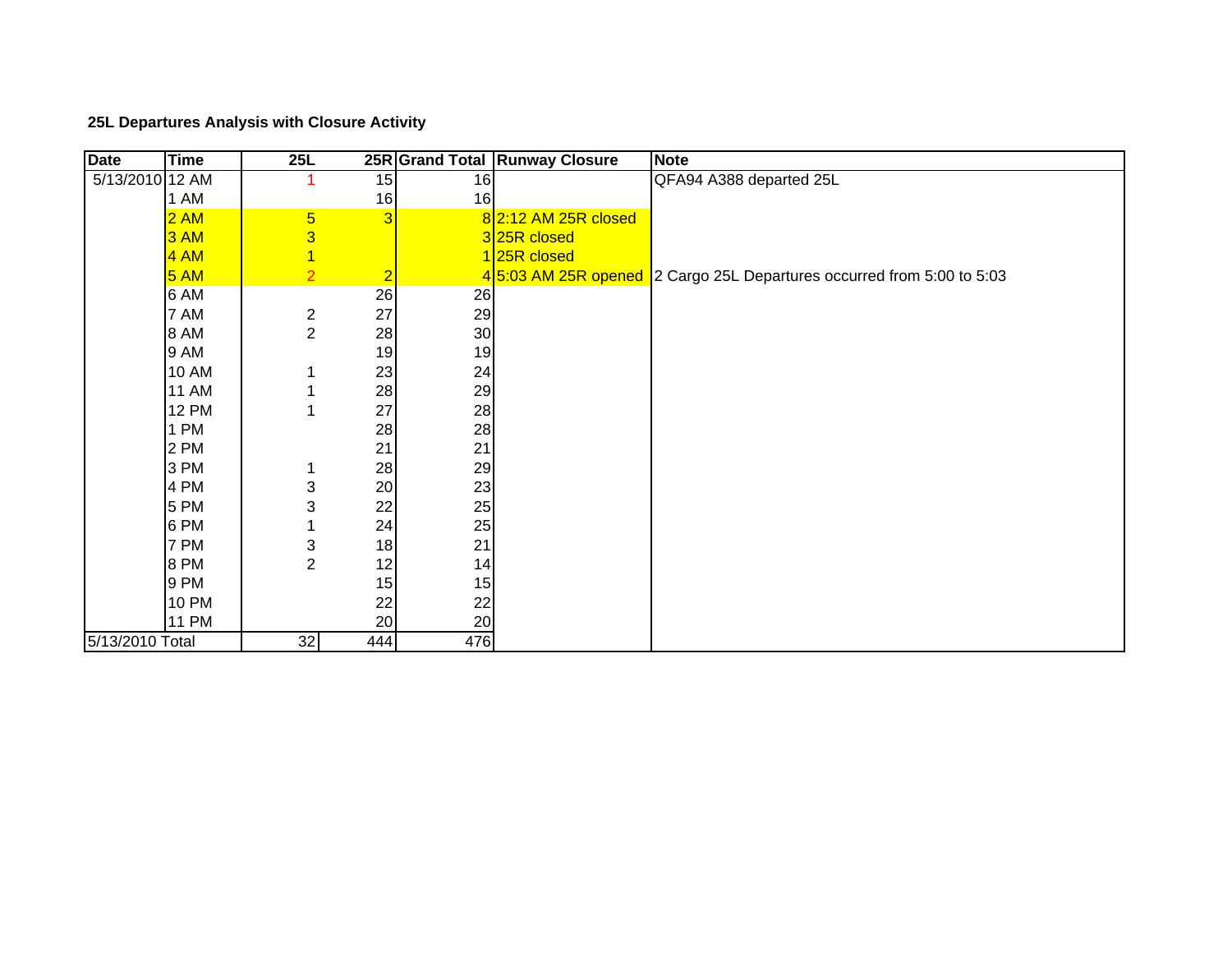## **25L Departures Analysis with Closure Activity**

| <b>Date</b>     | <b>Time</b>  | 25L              |                |     | 25R Grand Total Runway Closure | <b>Note</b>                                                           |
|-----------------|--------------|------------------|----------------|-----|--------------------------------|-----------------------------------------------------------------------|
| 5/13/2010 12 AM |              |                  | 15             | 16  |                                | QFA94 A388 departed 25L                                               |
|                 | 1 AM         |                  | 16             | 16  |                                |                                                                       |
|                 | 2AM          | $\overline{5}$   | 3              |     | 8 2:12 AM 25R closed           |                                                                       |
|                 | 3AM          | 3                |                |     | 325R closed                    |                                                                       |
|                 | 4 AM         | $\overline{1}$   |                |     | 125R closed                    |                                                                       |
|                 | 5AM          | $\overline{2}$   | $\overline{2}$ |     |                                | 45:03 AM 25R opened 2 Cargo 25L Departures occurred from 5:00 to 5:03 |
|                 | 6 AM         |                  | 26             | 26  |                                |                                                                       |
|                 | 7 AM         | $\boldsymbol{2}$ | 27             | 29  |                                |                                                                       |
|                 | 8 AM         | $\overline{c}$   | 28             | 30  |                                |                                                                       |
|                 | 9 AM         |                  | 19             | 19  |                                |                                                                       |
|                 | <b>10 AM</b> |                  | 23             | 24  |                                |                                                                       |
|                 | <b>11 AM</b> |                  | 28             | 29  |                                |                                                                       |
|                 | <b>12 PM</b> |                  | 27             | 28  |                                |                                                                       |
|                 | 1 PM         |                  | 28             | 28  |                                |                                                                       |
|                 | 2 PM         |                  | 21             | 21  |                                |                                                                       |
|                 | 3 PM         |                  | 28             | 29  |                                |                                                                       |
|                 | 4 PM         | 3                | 20             | 23  |                                |                                                                       |
|                 | 5 PM         | 3                | 22             | 25  |                                |                                                                       |
|                 | 6 PM         |                  | 24             | 25  |                                |                                                                       |
|                 | 7 PM         | 3                | 18             | 21  |                                |                                                                       |
|                 | 8 PM         | $\overline{c}$   | 12             | 14  |                                |                                                                       |
|                 | 9 PM         |                  | 15             | 15  |                                |                                                                       |
|                 | <b>10 PM</b> |                  | 22             | 22  |                                |                                                                       |
|                 | <b>11 PM</b> |                  | 20             | 20  |                                |                                                                       |
| 5/13/2010 Total |              | 32               | 444            | 476 |                                |                                                                       |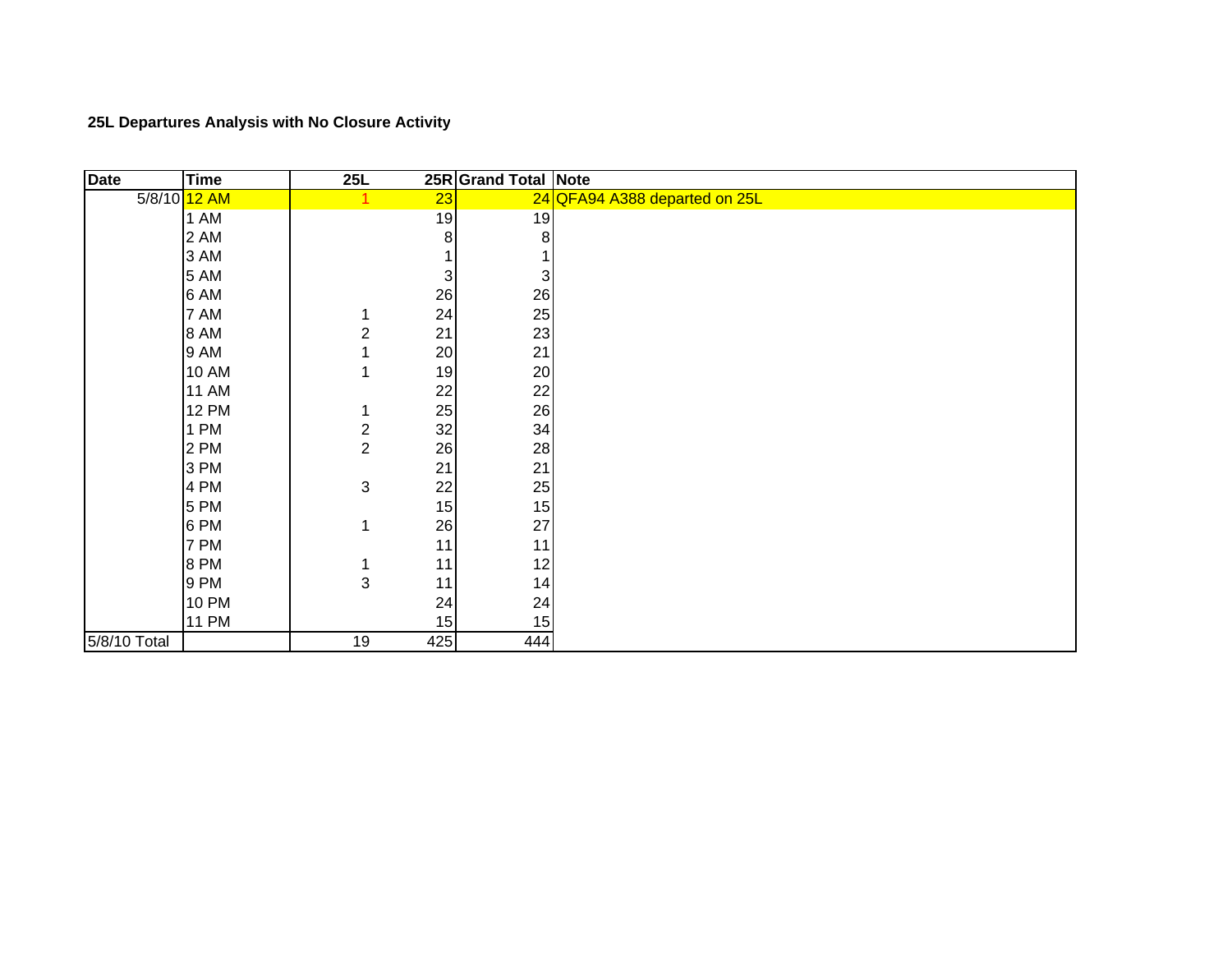**25L Departures Analysis with No Closure Activit y**

| <b>Date</b>  | <b>Time</b>  | 25L                     |     | 25R Grand Total Note |                               |
|--------------|--------------|-------------------------|-----|----------------------|-------------------------------|
|              | 5/8/10 12 AM |                         | 23  |                      | 24 QFA94 A388 departed on 25L |
|              | 1 AM         |                         | 19  | 19                   |                               |
|              | 2 AM         |                         | 8   | 8                    |                               |
|              | 3 AM         |                         |     |                      |                               |
|              | 5 AM         |                         | 3   | 3 <sup>1</sup>       |                               |
|              | 6 AM         |                         | 26  | 26                   |                               |
|              | 7 AM         |                         | 24  | 25                   |                               |
|              | 8 AM         | 2                       | 21  | 23                   |                               |
|              | 9 AM         |                         | 20  | 21                   |                               |
|              | <b>10 AM</b> |                         | 19  | 20                   |                               |
|              | <b>11 AM</b> |                         | 22  | 22                   |                               |
|              | <b>12 PM</b> |                         | 25  | 26                   |                               |
|              | 1 PM         | $\overline{\mathbf{c}}$ | 32  | 34                   |                               |
|              | 2 PM         | $\overline{c}$          | 26  | 28                   |                               |
|              | 3 PM         |                         | 21  | 21                   |                               |
|              | 4 PM         | 3                       | 22  | 25                   |                               |
|              | 5 PM         |                         | 15  | 15                   |                               |
|              | 6 PM         |                         | 26  | 27                   |                               |
|              | 7 PM         |                         | 11  | 11                   |                               |
|              | 8 PM         |                         | 11  | 12                   |                               |
|              | 9 PM         | 3                       | 11  | 14                   |                               |
|              | <b>10 PM</b> |                         | 24  | 24                   |                               |
|              | <b>11 PM</b> |                         | 15  | 15                   |                               |
| 5/8/10 Total |              | 19                      | 425 | 444                  |                               |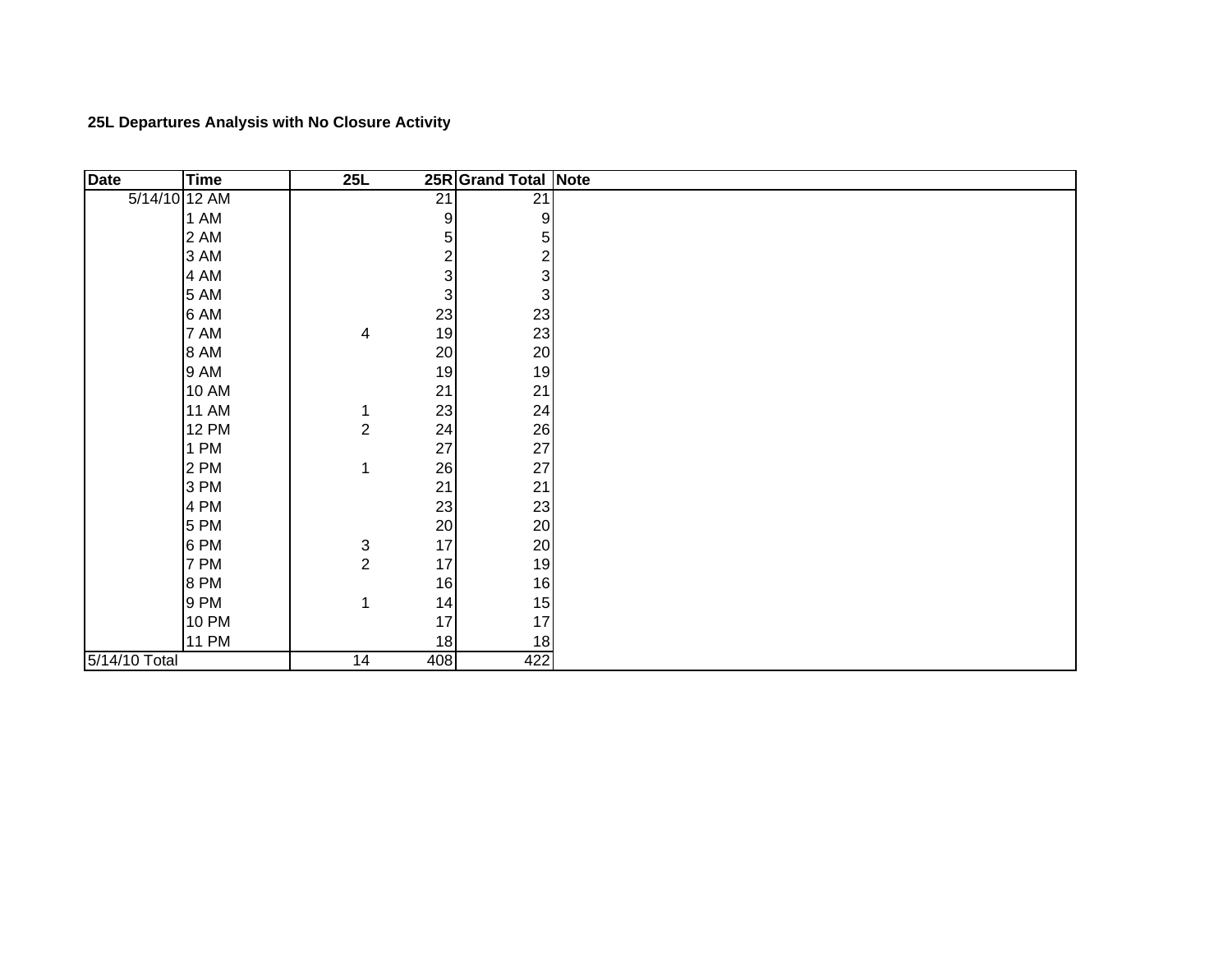**25L Departures Analysis with No Closure Activit y**

| <b>Date</b>   | <b>Time</b>  | 25L                       |                           | 25R Grand Total Note    |  |
|---------------|--------------|---------------------------|---------------------------|-------------------------|--|
| 5/14/10 12 AM |              |                           | $\overline{21}$           | $\overline{21}$         |  |
|               | 1 AM         |                           | 9                         | 9                       |  |
|               | 2 AM         |                           | 5                         | $\overline{5}$          |  |
|               | 3 AM         |                           | $\overline{\mathbf{c}}$   | $\overline{\mathbf{c}}$ |  |
|               | 4 AM         |                           | 3                         | 3                       |  |
|               | 5 AM         |                           | $\ensuremath{\mathsf{3}}$ | 3                       |  |
|               | 6 AM         |                           | 23                        | 23                      |  |
|               | 7 AM         | 4                         | 19                        | 23                      |  |
|               | 8 AM         |                           | 20                        | 20                      |  |
|               | 9 AM         |                           | 19                        | 19                      |  |
|               | <b>10 AM</b> |                           | 21                        | 21                      |  |
|               | <b>11 AM</b> | 1                         | 23                        | 24                      |  |
|               | <b>12 PM</b> | $\boldsymbol{2}$          | 24                        | 26                      |  |
|               | 1 PM         |                           | 27                        | 27                      |  |
|               | 2 PM         | 1                         | 26                        | 27                      |  |
|               | 3 PM         |                           | 21                        | 21                      |  |
|               | 4 PM         |                           | 23                        | 23                      |  |
|               | 5 PM         |                           | 20                        | 20                      |  |
|               | 6 PM         | $\ensuremath{\mathsf{3}}$ | 17                        | 20                      |  |
|               | 7 PM         | $\overline{2}$            | 17                        | 19                      |  |
|               | 8 PM         |                           | 16                        | 16                      |  |
|               | 9 PM         | 1                         | 14                        | 15                      |  |
|               | <b>10 PM</b> |                           | 17                        | 17                      |  |
|               | 11 PM        |                           | 18                        | 18                      |  |
| 5/14/10 Total |              | 14                        | 408                       | 422                     |  |